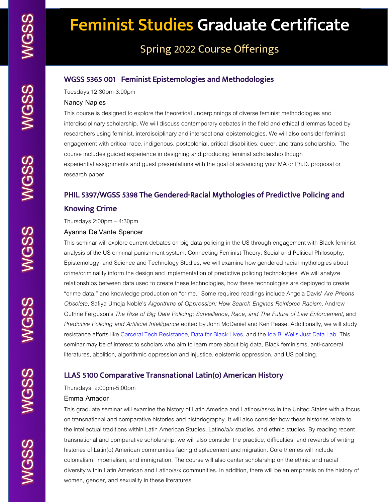**WGSS** 

# Spring 2022 Course Offerings

# WGSS 5365 001 Feminist Epistemologies and Methodologies

Tuesdays 12:30pm-3:00pm

#### **Nancy Naples**

This course is designed to explore the theoretical underpinnings of diverse feminist methodologies and interdisciplinary scholarship. We will discuss contemporary debates in the field and ethical dilemmas faced by researchers using feminist, interdisciplinary and intersectional epistemologies. We will also consider feminist engagement with critical race, indigenous, postcolonial, critical disabilities, queer, and trans scholarship. The course includes guided experience in designing and producing feminist scholarship though experiential assignments and guest presentations with the goal of advancing your MA or Ph.D. proposal or research paper.

# PHIL 5397/WGSS 5398 The Gendered-Racial Mythologies of Predictive Policing and Knowing Crime

Thursdays 2:00pm – 4:30pm

#### **Ayanna De'Vante Spencer**

This seminar will explore current debates on big data policing in the US through engagement with Black feminist analysis of the US criminal punishment system. Connecting Feminist Theory, Social and Political Philosophy, Epistemology, and Science and Technology Studies, we will examine how gendered racial mythologies about crime/criminality inform the design and implementation of predictive policing technologies. We will analyze relationships between data used to create these technologies, how these technologies are deployed to create "crime data," and knowledge production on "crime." Some required readings include Angela Davis' *Are Prisons Obsolete*, Safiya Umoja Noble's *Algorithms of Oppression: How Search Engines Reinforce Racism*, Andrew Guthrie Ferguson's *The Rise of Big Data Policing: Surveillance, Race, and The Future of Law Enforcement*, and *Predictive Policing and Artificial Intelligence* edited by John McDaniel and Ken Pease. Additionally, we will study resistance efforts like Carceral Tech Resistance, Data for Black Lives, and the Ida B. Wells Just Data Lab. This seminar may be of interest to scholars who aim to learn more about big data, Black feminisms, anti-carceral literatures, abolition, algorithmic oppression and injustice, epistemic oppression, and US policing.

# LLAS 5100 Comparative Transnational Latin(o) American History

Thursdays, 2:00pm-5:00pm

#### **Emma Amador**

This graduate seminar will examine the history of Latin America and Latinos/as/xs in the United States with a focus on transnational and comparative histories and historiography. It will also consider how these histories relate to the intellectual traditions within Latin American Studies, Latino/a/x studies, and ethnic studies. By reading recent transnational and comparative scholarship, we will also consider the practice, difficulties, and rewards of writing histories of Latin(o) American communities facing displacement and migration. Core themes will include colonialism, imperialism, and immigration. The course will also center scholarship on the ethnic and racial diversity within Latin American and Latino/a/x communities. In addition, there will be an emphasis on the history of women, gender, and sexuality in these literatures.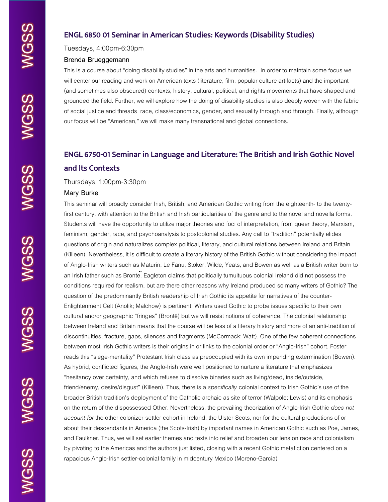# ENGL 6850 01 Seminar in American Studies: Keywords (Disability Studies)

Tuesdays, 4:00pm-6:30pm

#### **Brenda Brueggemann**

This is a course about "doing disability studies" in the arts and humanities. In order to maintain some focus we will center our reading and work on American texts (literature, film, popular culture artifacts) and the important (and sometimes also obscured) contexts, history, cultural, political, and rights movements that have shaped and grounded the field. Further, we will explore how the doing of disability studies is also deeply woven with the fabric of social justice and threads race, class/economics, gender, and sexuality through and through. Finally, although our focus will be "American," we will make many transnational and global connections.

# ENGL 6750-01 Seminar in Language and Literature: The British and Irish Gothic Novel and Its Contexts

#### Thursdays, 1:00pm-3:30pm

#### **Mary Burke**

This seminar will broadly consider Irish, British, and American Gothic writing from the eighteenth- to the twentyfirst century, with attention to the British and Irish particularities of the genre and to the novel and novella forms. Students will have the opportunity to utilize major theories and foci of interpretation, from queer theory, Marxism, feminism, gender, race, and psychoanalysis to postcolonial studies. Any call to "tradition" potentially elides questions of origin and naturalizes complex political, literary, and cultural relations between Ireland and Britain (Killeen). Nevertheless, it is difficult to create a literary history of the British Gothic without considering the impact of Anglo-Irish writers such as Maturin, Le Fanu, Stoker, Wilde, Yeats, and Bowen as well as a British writer born to an Irish father such as Bronte. Eagleton claims that politically tumultuous colonial Ireland did not possess the conditions required for realism, but are there other reasons why Ireland produced so many writers of Gothic? The question of the predominantly British readership of Irish Gothic its appetite for narratives of the counter-Enlightenment Celt (Anolik; Malchow) is pertinent. Writers used Gothic to probe issues specific to their own cultural and/or geographic "fringes" (Brontë) but we will resist notions of coherence. The colonial relationship between Ireland and Britain means that the course will be less of a literary history and more of an anti-tradition of discontinuities, fracture, gaps, silences and fragments (McCormack; Watt). One of the few coherent connections between most Irish Gothic writers is their origins in or links to the colonial order or "Anglo-Irish" cohort. Foster reads this "siege-mentality" Protestant Irish class as preoccupied with its own impending extermination (Bowen). As hybrid, conflicted figures, the Anglo-Irish were well positioned to nurture a literature that emphasizes "hesitancy over certainty, and which refuses to dissolve binaries such as living/dead, inside/outside, friend/enemy, desire/disgust" (Killeen). Thus, there is a *specifically* colonial context to Irish Gothic's use of the broader British tradition's deployment of the Catholic archaic as site of terror (Walpole; Lewis) and its emphasis on the return of the dispossessed Other. Nevertheless, the prevailing theorization of Anglo-Irish Gothic *does not account for* the other colonizer-settler cohort in Ireland, the Ulster-Scots, nor for the cultural productions of or about their descendants in America (the Scots-Irish) by important names in American Gothic such as Poe, James, and Faulkner. Thus, we will set earlier themes and texts into relief and broaden our lens on race and colonialism by pivoting to the Americas and the authors just listed, closing with a recent Gothic metafiction centered on a rapacious Anglo-Irish settler-colonial family in midcentury Mexico (Moreno-Garcia)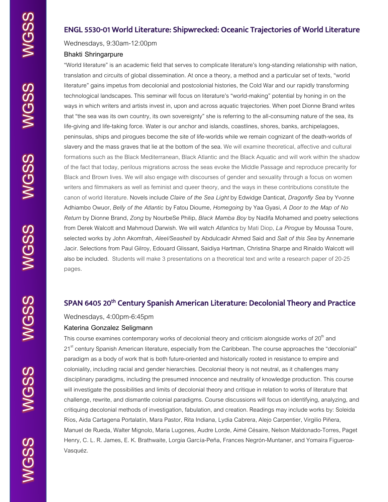WGSS WGSS

WGSS

# ENGL 5530-01 World Literature: Shipwrecked: Oceanic Trajectories of World Literature

Wednesdays, 9:30am-12:00pm

## **Bhakti Shringarpure**

"World literature" is an academic field that serves to complicate literature's long-standing relationship with nation, translation and circuits of global dissemination. At once a theory, a method and a particular set of texts, "world literature" gains impetus from decolonial and postcolonial histories, the Cold War and our rapidly transforming technological landscapes. This seminar will focus on literature's "world-making" potential by honing in on the ways in which writers and artists invest in, upon and across aquatic trajectories. When poet Dionne Brand writes that "the sea was its own country, its own sovereignty" she is referring to the all-consuming nature of the sea, its life-giving and life-taking force. Water is our anchor and islands, coastlines, shores, banks, archipelagoes, peninsulas, ships and pirogues become the site of life-worlds while we remain cognizant of the death-worlds of slavery and the mass graves that lie at the bottom of the sea. We will examine theoretical, affective and cultural formations such as the Black Mediterranean, Black Atlantic and the Black Aquatic and will work within the shadow of the fact that today, perilous migrations across the seas evoke the Middle Passage and reproduce precarity for Black and Brown lives. We will also engage with discourses of gender and sexuality through a focus on women writers and filmmakers as well as feminist and queer theory, and the ways in these contributions constitute the canon of world literature. Novels include *Claire of the Sea Light* by Edwidge Danticat, *Dragonfly Sea* by Yvonne Adhiambo Owuor, *Belly of the Atlantic* by Fatou Dioume, *Homegoing* by Yaa Gyasi, *A Door to the Map of No Return* by Dionne Brand, *Zong* by NourbeSe Philip, *Black Mamba Boy* by Nadifa Mohamed and poetry selections from Derek Walcott and Mahmoud Darwish. We will watch *Atlantics* by Mati Diop, *La Pirogue* by Moussa Toure, selected works by John Akomfrah, *Aleel/Seashell* by Abdulcadir Ahmed Said and *Salt of this Sea* by Annemarie Jacir. Selections from Paul Gilroy, Edouard Glissant, Saidiya Hartman, Christina Sharpe and Rinaldo Walcott will also be included. Students will make 3 presentations on a theoretical text and write a research paper of 20-25 pages.

# SPAN 6405 20<sup>th</sup> Century Spanish American Literature: Decolonial Theory and Practice

Wednesdays, 4:00pm-6:45pm

### **Katerina Gonzalez Seligmann**

This course examines contemporary works of decolonial theory and criticism alongside works of  $20<sup>th</sup>$  and 21<sup>st</sup> century Spanish American literature, especially from the Caribbean. The course approaches the "decolonial" paradigm as a body of work that is both future-oriented and historically rooted in resistance to empire and coloniality, including racial and gender hierarchies. Decolonial theory is not neutral, as it challenges many disciplinary paradigms, including the presumed innocence and neutrality of knowledge production. This course will investigate the possibilities and limits of decolonial theory and critique in relation to works of literature that challenge, rewrite, and dismantle colonial paradigms. Course discussions will focus on identifying, analyzing, and critiquing decolonial methods of investigation, fabulation, and creation. Readings may include works by: Soleida Ríos, Aida Cartagena Portalatín, Mara Pastor, Rita Indiana, Lydia Cabrera, Alejo Carpentier, Virgilio Piñera, Manuel de Rueda, Walter Mignolo, Maria Lugones, Audre Lorde, Aimé Césaire, Nelson Maldonado-Torres, Paget Henry, C. L. R. James, E. K. Brathwaite, Lorgia García-Peña, Frances Negrón-Muntaner, and Yomaira Figueroa-Vasquéz.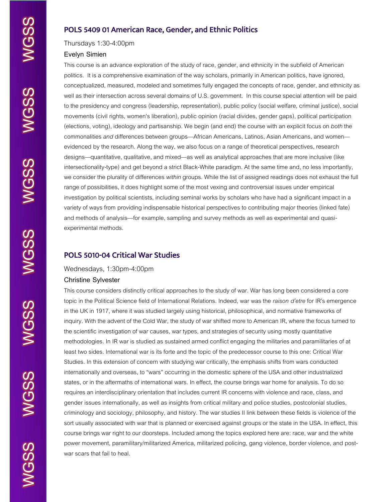# POLS 5409 01 American Race, Gender, and Ethnic Politics

Thursdays 1:30-4:00pm

#### **Evelyn Simien**

This course is an advance exploration of the study of race, gender, and ethnicity in the subfield of American politics. It is a comprehensive examination of the way scholars, primarily in American politics, have ignored, conceptualized, measured, modeled and sometimes fully engaged the concepts of race, gender, and ethnicity as well as their intersection across several domains of U.S. government. In this course special attention will be paid to the presidency and congress (leadership, representation), public policy (social welfare, criminal justice), social movements (civil rights, women's liberation), public opinion (racial divides, gender gaps), political participation (elections, voting), ideology and partisanship. We begin (and end) the course with an explicit focus on *both* the commonalities *and* differences between groups—African Americans, Latinos, Asian Americans, and women evidenced by the research. Along the way, we also focus on a range of theoretical perspectives, research designs—quantitative, qualitative, and mixed—as well as analytical approaches that are more inclusive (like intersectionality-type) and get beyond a strict Black-White paradigm. At the same time and, no less importantly, we consider the plurality of differences *within* groups. While the list of assigned readings does not exhaust the full range of possibilities, it does highlight some of the most vexing and controversial issues under empirical investigation by political scientists, including seminal works by scholars who have had a significant impact in a variety of ways from providing indispensable historical perspectives to contributing major theories (linked fate) and methods of analysis—for example, sampling and survey methods as well as experimental and quasiexperimental methods.

# POLS 5010-04 Critical War Studies

#### Wednesdays, 1:30pm-4:00pm

#### **Christine Sylvester**

This course considers distinctly critical approaches to the study of war. War has long been considered a core topic in the Political Science field of International Relations. Indeed, war was the *raison d'etre* for IR's emergence in the UK in 1917, where it was studied largely using historical, philosophical, and normative frameworks of inquiry. With the advent of the Cold War, the study of war shifted more to American IR, where the focus turned to the scientific investigation of war causes, war types, and strategies of security using mostly quantitative methodologies. In IR war is studied as sustained armed conflict engaging the militaries and paramilitaries of at least two sides. International war is its forte and the topic of the predecessor course to this one: Critical War Studies. In this extension of concern with studying war critically, the emphasis shifts from wars conducted internationally and overseas, to "wars" occurring in the domestic sphere of the USA and other industrialized states, or in the aftermaths of international wars. In effect, the course brings war home for analysis. To do so requires an interdisciplinary orientation that includes current IR concerns with violence and race, class, and gender issues internationally, as well as insights from critical military and police studies, postcolonial studies, criminology and sociology, philosophy, and history. The war studies II link between these fields is violence of the sort usually associated with war that is planned or exercised against groups or the state in the USA. In effect, this course brings war right to our doorsteps. Included among the topics explored here are: race, war and the white power movement, paramilitary/militarized America, militarized policing, gang violence, border violence, and postwar scars that fail to heal.